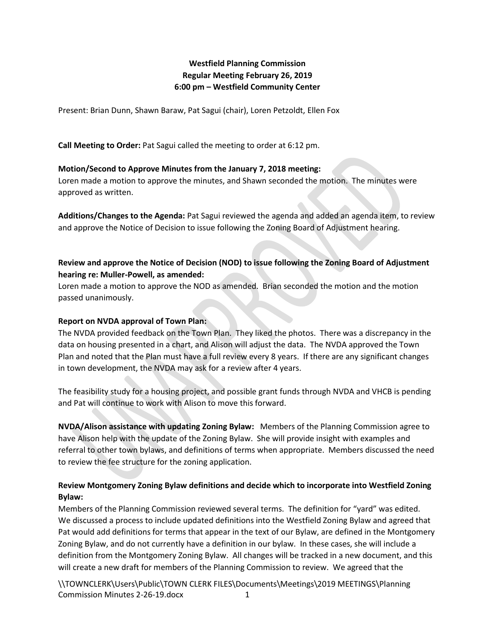# **Westfield Planning Commission Regular Meeting February 26, 2019 6:00 pm – Westfield Community Center**

Present: Brian Dunn, Shawn Baraw, Pat Sagui (chair), Loren Petzoldt, Ellen Fox

**Call Meeting to Order:** Pat Sagui called the meeting to order at 6:12 pm.

#### **Motion/Second to Approve Minutes from the January 7, 2018 meeting:**

Loren made a motion to approve the minutes, and Shawn seconded the motion. The minutes were approved as written.

**Additions/Changes to the Agenda:** Pat Sagui reviewed the agenda and added an agenda item, to review and approve the Notice of Decision to issue following the Zoning Board of Adjustment hearing.

# **Review and approve the Notice of Decision (NOD) to issue following the Zoning Board of Adjustment hearing re: Muller-Powell, as amended:**

Loren made a motion to approve the NOD as amended. Brian seconded the motion and the motion passed unanimously.

#### **Report on NVDA approval of Town Plan:**

The NVDA provided feedback on the Town Plan. They liked the photos. There was a discrepancy in the data on housing presented in a chart, and Alison will adjust the data. The NVDA approved the Town Plan and noted that the Plan must have a full review every 8 years. If there are any significant changes in town development, the NVDA may ask for a review after 4 years.

The feasibility study for a housing project, and possible grant funds through NVDA and VHCB is pending and Pat will continue to work with Alison to move this forward.

**NVDA/Alison assistance with updating Zoning Bylaw:** Members of the Planning Commission agree to have Alison help with the update of the Zoning Bylaw. She will provide insight with examples and referral to other town bylaws, and definitions of terms when appropriate. Members discussed the need to review the fee structure for the zoning application.

# **Review Montgomery Zoning Bylaw definitions and decide which to incorporate into Westfield Zoning Bylaw:**

Members of the Planning Commission reviewed several terms. The definition for "yard" was edited. We discussed a process to include updated definitions into the Westfield Zoning Bylaw and agreed that Pat would add definitions for terms that appear in the text of our Bylaw, are defined in the Montgomery Zoning Bylaw, and do not currently have a definition in our bylaw. In these cases, she will include a definition from the Montgomery Zoning Bylaw. All changes will be tracked in a new document, and this will create a new draft for members of the Planning Commission to review. We agreed that the

\\TOWNCLERK\Users\Public\TOWN CLERK FILES\Documents\Meetings\2019 MEETINGS\Planning Commission Minutes 2-26-19.docx 1